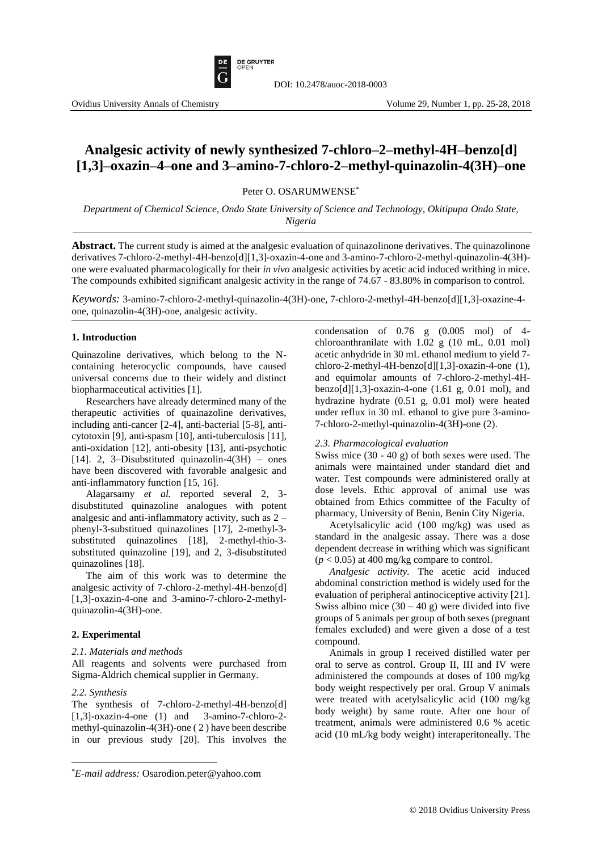

# **Analgesic activity of newly synthesized 7-chloro–2–methyl-4H–benzo[d] [1,3]–oxazin–4–one and 3–amino-7-chloro-2–methyl-quinazolin-4(3H)–one**

Peter O. OSARUMWENSE\*

*Department of Chemical Science, Ondo State University of Science and Technology, Okitipupa Ondo State, Nigeria*

**Abstract.** The current study is aimed at the analgesic evaluation of quinazolinone derivatives. The quinazolinone derivatives 7-chloro-2-methyl-4H-benzo[d][1,3]-oxazin-4-one and 3-amino-7-chloro-2-methyl-quinazolin-4(3H) one were evaluated pharmacologically for their *in vivo* analgesic activities by acetic acid induced writhing in mice. The compounds exhibited significant analgesic activity in the range of 74.67 - 83.80% in comparison to control.

*Keywords:* 3-amino-7-chloro-2-methyl-quinazolin-4(3H)-one, 7-chloro-2-methyl-4H-benzo[d][1,3]-oxazine-4 one, quinazolin-4(3H)-one, analgesic activity.

# **1. Introduction**

Quinazoline derivatives, which belong to the Ncontaining heterocyclic compounds, have caused universal concerns due to their widely and distinct biopharmaceutical activities [1].

Researchers have already determined many of the therapeutic activities of quainazoline derivatives, including anti-cancer [2-4], anti-bacterial [5-8], anticytotoxin [9], anti-spasm [10], anti-tuberculosis [11], anti-oxidation [12], anti-obesity [13], anti-psychotic [14]. 2, 3–Disubstituted quinazolin-4(3H) – ones have been discovered with favorable analgesic and anti-inflammatory function [15, 16].

Alagarsamy *et al.* reported several 2, 3 disubstituted quinazoline analogues with potent analgesic and anti-inflammatory activity, such as 2 – phenyl-3-substitued quinazolines [17], 2-methyl-3 substituted quinazolines [18], 2-methyl-thio-3 substituted quinazoline [19], and 2, 3-disubstituted quinazolines [18].

The aim of this work was to determine the analgesic activity of 7-chloro-2-methyl-4H-benzo[d] [1,3]-oxazin-4-one and 3-amino-7-chloro-2-methylquinazolin-4(3H)-one.

# **2. Experimental**

# *2.1. Materials and methods*

All reagents and solvents were purchased from Sigma-Aldrich chemical supplier in Germany.

#### *2.2. Synthesis*

 $\overline{\phantom{a}}$ 

The synthesis of 7-chloro-2-methyl-4H-benzo[d] [1,3]-oxazin-4-one (1) and 3-amino-7-chloro-2 methyl-quinazolin-4(3H)-one ( 2 ) have been describe in our previous study [20]. This involves the condensation of 0.76 g (0.005 mol) of 4 chloroanthranilate with 1.02 g (10 mL, 0.01 mol) acetic anhydride in 30 mL ethanol medium to yield 7 chloro-2-methyl-4H-benzo[d][1,3]-oxazin-4-one (1), and equimolar amounts of 7-chloro-2-methyl-4Hbenzo $[d][1,3]$ -oxazin-4-one  $(1.61 \text{ g}, 0.01 \text{ mol})$ , and hydrazine hydrate (0.51 g, 0.01 mol) were heated under reflux in 30 mL ethanol to give pure 3-amino-7-chloro-2-methyl-quinazolin-4(3H)-one (2).

#### *2.3. Pharmacological evaluation*

Swiss mice (30 - 40 g) of both sexes were used. The animals were maintained under standard diet and water. Test compounds were administered orally at dose levels. Ethic approval of animal use was obtained from Ethics committee of the Faculty of pharmacy, University of Benin, Benin City Nigeria.

Acetylsalicylic acid (100 mg/kg) was used as standard in the analgesic assay. There was a dose dependent decrease in writhing which was significant  $(p < 0.05)$  at 400 mg/kg compare to control.

*Analgesic activity.* The acetic acid induced abdominal constriction method is widely used for the evaluation of peripheral antinociceptive activity [21]. Swiss albino mice  $(30 - 40)$  g) were divided into five groups of 5 animals per group of both sexes (pregnant females excluded) and were given a dose of a test compound.

Animals in group I received distilled water per oral to serve as control. Group II, III and IV were administered the compounds at doses of 100 mg/kg body weight respectively per oral. Group V animals were treated with acetylsalicylic acid (100 mg/kg body weight) by same route. After one hour of treatment, animals were administered 0.6 % acetic acid (10 mL/kg body weight) interaperitoneally. The

<sup>\*</sup>*E-mail address:* Osarodion.peter@yahoo.com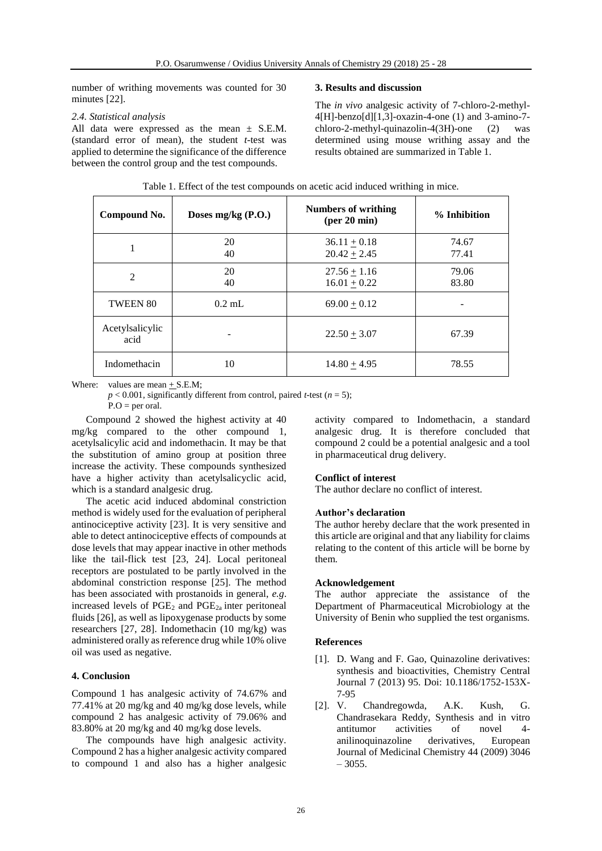number of writhing movements was counted for 30 minutes [22].

# *2.4. Statistical analysis*

All data were expressed as the mean  $\pm$  S.E.M. (standard error of mean), the student *t*-test was applied to determine the significance of the difference between the control group and the test compounds.

#### **3. Results and discussion**

The *in vivo* analgesic activity of 7-chloro-2-methyl-4[H]-benzo[d][1,3]-oxazin-4-one (1) and 3-amino-7 chloro-2-methyl-quinazolin-4(3H)-one (2) was determined using mouse writhing assay and the results obtained are summarized in Table 1.

| Compound No.            | Doses mg/kg (P.O.) | <b>Numbers of writhing</b><br>$(\text{per }20 \text{ min})$ | % Inhibition   |
|-------------------------|--------------------|-------------------------------------------------------------|----------------|
| 1                       | 20<br>40           | $36.11 + 0.18$<br>$20.42 + 2.45$                            | 74.67<br>77.41 |
| $\overline{2}$          | 20<br>40           | $27.56 + 1.16$<br>$16.01 + 0.22$                            | 79.06<br>83.80 |
| <b>TWEEN 80</b>         | $0.2$ mL           | $69.00 + 0.12$                                              |                |
| Acetylsalicylic<br>acid |                    | $22.50 + 3.07$                                              | 67.39          |
| Indomethacin            | 10                 | $14.80 + 4.95$                                              | 78.55          |

Table 1. Effect of the test compounds on acetic acid induced writhing in mice.

Where: values are mean  $+ S.E.M;$ 

 $p < 0.001$ , significantly different from control, paired *t*-test (*n* = 5);  $P.O = per \text{ oral.}$ 

Compound 2 showed the highest activity at 40 mg/kg compared to the other compound 1, acetylsalicylic acid and indomethacin. It may be that the substitution of amino group at position three increase the activity. These compounds synthesized have a higher activity than acetylsalicyclic acid, which is a standard analgesic drug.

The acetic acid induced abdominal constriction method is widely used for the evaluation of peripheral antinociceptive activity [23]. It is very sensitive and able to detect antinociceptive effects of compounds at dose levels that may appear inactive in other methods like the tail-flick test [23, 24]. Local peritoneal receptors are postulated to be partly involved in the abdominal constriction response [25]. The method has been associated with prostanoids in general, *e.g*. increased levels of  $PGE_2$  and  $PGE_{2a}$  inter peritoneal fluids [26], as well as lipoxygenase products by some researchers [27, 28]. Indomethacin (10 mg/kg) was administered orally as reference drug while 10% olive oil was used as negative.

# **4. Conclusion**

Compound 1 has analgesic activity of 74.67% and 77.41% at 20 mg/kg and 40 mg/kg dose levels, while compound 2 has analgesic activity of 79.06% and 83.80% at 20 mg/kg and 40 mg/kg dose levels.

The compounds have high analgesic activity. Compound 2 has a higher analgesic activity compared to compound 1 and also has a higher analgesic

activity compared to Indomethacin, a standard analgesic drug. It is therefore concluded that compound 2 could be a potential analgesic and a tool in pharmaceutical drug delivery.

# **Conflict of interest**

The author declare no conflict of interest.

# **Author's declaration**

The author hereby declare that the work presented in this article are original and that any liability for claims relating to the content of this article will be borne by them.

# **Acknowledgement**

The author appreciate the assistance of the Department of Pharmaceutical Microbiology at the University of Benin who supplied the test organisms.

# **References**

- [1]. D. Wang and F. Gao, Quinazoline derivatives: synthesis and bioactivities, Chemistry Central Journal 7 (2013) 95. Doi: 10.1186/1752-153X-7-95
- [2]. V. Chandregowda, A.K. Kush, G. Chandrasekara Reddy, Synthesis and in vitro antitumor activities of novel 4 anilinoquinazoline derivatives, European Journal of Medicinal Chemistry 44 (2009) 3046  $-3055.$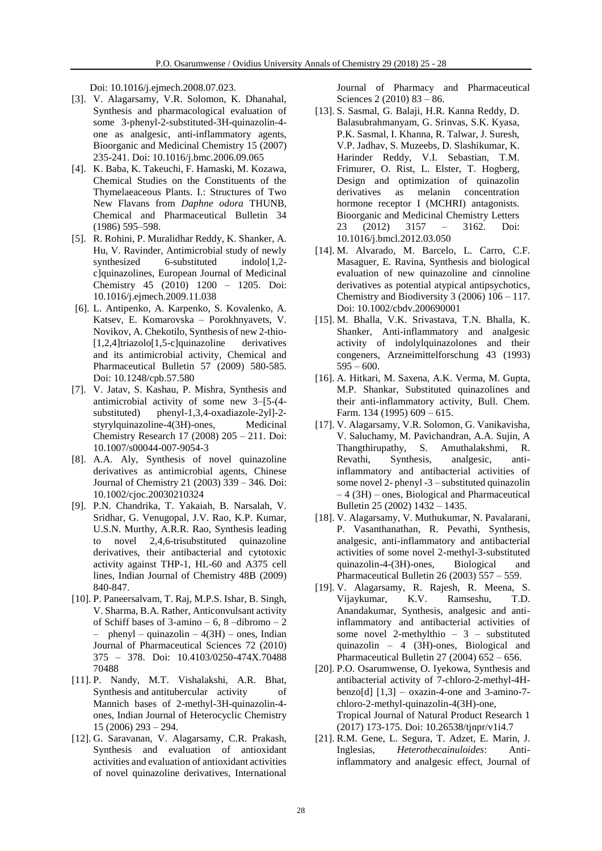Doi: 10.1016/j.ejmech.2008.07.023.

- [3]. V. Alagarsamy, V.R. Solomon, K. Dhanahal, Synthesis and pharmacological evaluation of some 3-phenyl-2-substituted-3H-quinazolin-4 one as analgesic, anti-inflammatory agents, Bioorganic and Medicinal Chemistry 15 (2007) 235-241. Doi: 10.1016/j.bmc.2006.09.065
- [4]. K. Baba, K. Takeuchi, F. Hamaski, M. Kozawa, Chemical Studies on the Constituents of the Thymelaeaceous Plants. I.: Structures of Two New Flavans from *Daphne odora* THUNB, Chemical and Pharmaceutical Bulletin 34 (1986) 595–598.
- [5]. R. Rohini, P. Muralidhar Reddy, K. Shanker, A. Hu, V. Ravinder, Antimicrobial study of newly<br>synthesized 6-substituted indolo[1,2- $6$ -substituted indolo $[1,2$ c]quinazolines, European Journal of Medicinal Chemistry 45 (2010) 1200 – 1205. Doi: 10.1016/j.ejmech.2009.11.038
- [6]. L. Antipenko, A. Karpenko, S. Kovalenko, A. Katsev, E. Komarovska – Porokhnyavets, V. Novikov, A. Chekotilo, Synthesis of new 2-thio- [1,2,4]triazolo[1,5-c]quinazoline derivatives and its antimicrobial activity, Chemical and Pharmaceutical Bulletin 57 (2009) 580-585. Doi: 10.1248/cpb.57.580
- [7]. V. Jatav, S. Kashau, P. Mishra, Synthesis and antimicrobial activity of some new 3–[5-(4 substituted) phenyl-1,3,4-oxadiazole-2yl]-2 styrylquinazoline-4(3H)-ones, Medicinal Chemistry Research 17 (2008) 205 – 211. Doi: 10.1007/s00044-007-9054-3
- [8]. A.A. Aly, Synthesis of novel quinazoline derivatives as antimicrobial agents, Chinese Journal of Chemistry 21 (2003) 339 – 346. Doi: 10.1002/cjoc.20030210324
- [9]. P.N. Chandrika, T. Yakaiah, B. Narsalah, V. Sridhar, G. Venugopal, J.V. Rao, K.P. Kumar, U.S.N. Murthy, A.R.R. Rao, Synthesis leading to novel 2,4,6-trisubstituted quinazoline derivatives, their antibacterial and cytotoxic activity against THP-1, HL-60 and A375 cell lines, Indian Journal of Chemistry 48B (2009) 840-847.
- [10]. P. Paneersalvam, T. Raj, M.P.S. Ishar, B. Singh, V. Sharma, B.A. Rather, Anticonvulsant activity of Schiff bases of  $3$ -amino –  $6, 8$  –dibromo –  $2$ - phenyl – quinazolin –  $4(3H)$  – ones, Indian Journal of Pharmaceutical Sciences 72 (2010) 375 – 378. Doi: 10.4103/0250-474X.70488 70488
- [11]. P. Nandy, M.T. Vishalakshi, A.R. Bhat, Synthesis and antitubercular activity of Mannich bases of 2-methyl-3H-quinazolin-4 ones, Indian Journal of Heterocyclic Chemistry 15 (2006) 293 – 294.
- [12]. G. Saravanan, V. Alagarsamy, C.R. Prakash, Synthesis and evaluation of antioxidant activities and evaluation of antioxidant activities of novel quinazoline derivatives, International

Journal of Pharmacy and Pharmaceutical Sciences 2 (2010) 83 – 86.

- [13]. S. Sasmal, G. Balaji, H.R. Kanna Reddy, D. Balasubrahmanyam, G. Srinvas, S.K. Kyasa, P.K. Sasmal, I. Khanna, R. Talwar, J. Suresh, V.P. Jadhav, S. Muzeebs, D. Slashikumar, K. Harinder Reddy, V.I. Sebastian, T.M. Frimurer, O. Rist, L. Elster, T. Hogberg, Design and optimization of quinazolin derivatives as melanin concentration hormone receptor I (MCHRI) antagonists. Bioorganic and Medicinal Chemistry Letters 23 (2012) 3157 – 3162. Doi: 10.1016/j.bmcl.2012.03.050
- [14]. M. Alvarado, M. Barcelo, L. Carro, C.F. Masaguer, E. Ravina, Synthesis and biological evaluation of new quinazoline and cinnoline derivatives as potential atypical antipsychotics, Chemistry and Biodiversity 3 (2006) 106 – 117. Doi: 10.1002/cbdv.200690001
- [15]. M. Bhalla, V.K. Srivastava, T.N. Bhalla, K. Shanker, Anti-inflammatory and analgesic activity of indolylquinazolones and their congeners, Arzneimittelforschung 43 (1993)  $595 - 600$ .
- [16]. A. Hitkari, M. Saxena, A.K. Verma, M. Gupta, M.P. Shankar, Substituted quinazolines and their anti-inflammatory activity, Bull. Chem. Farm. 134 (1995) 609 – 615.
- [17]. V. Alagarsamy, V.R. Solomon, G. Vanikavisha, V. Saluchamy, M. Pavichandran, A.A. Sujin, A Thangthirupathy, S. Amuthalakshmi, R. Revathi, Synthesis, analgesic, antiinflammatory and antibacterial activities of some novel 2- phenyl -3 – substituted quinazolin – 4 (3H) – ones, Biological and Pharmaceutical Bulletin 25 (2002) 1432 – 1435.
- [18]. V. Alagarsamy, V. Muthukumar, N. Pavalarani, P. Vasanthanathan, R. Pevathi, Synthesis, analgesic, anti-inflammatory and antibacterial activities of some novel 2-methyl-3-substituted quinazolin-4-(3H)-ones, Biological and Pharmaceutical Bulletin 26 (2003) 557 – 559.
- [19]. V. Alagarsamy, R. Rajesh, R. Meena, S. Vijaykumar, K.V. Ramseshu, T.D. Anandakumar, Synthesis, analgesic and antiinflammatory and antibacterial activities of some novel 2-methylthio – 3 – substituted quinazolin – 4 (3H)-ones, Biological and Pharmaceutical Bulletin 27 (2004) 652 – 656.
- [20]. P.O. Osarumwense, O. Iyekowa, Synthesis and antibacterial activity of 7-chloro-2-methyl-4Hbenzo[d]  $[1,3]$  – oxazin-4-one and 3-amino-7chloro-2-methyl-quinazolin-4(3H)-one, Tropical Journal of Natural Product Research 1 (2017) 173-175. Doi: 10.26538/tjnpr/v1i4.7
- [21]. R.M. Gene, L. Segura, T. Adzet, E. Marin, J. Inglesias, *Heterothecainuloides*: Antiinflammatory and analgesic effect, Journal of